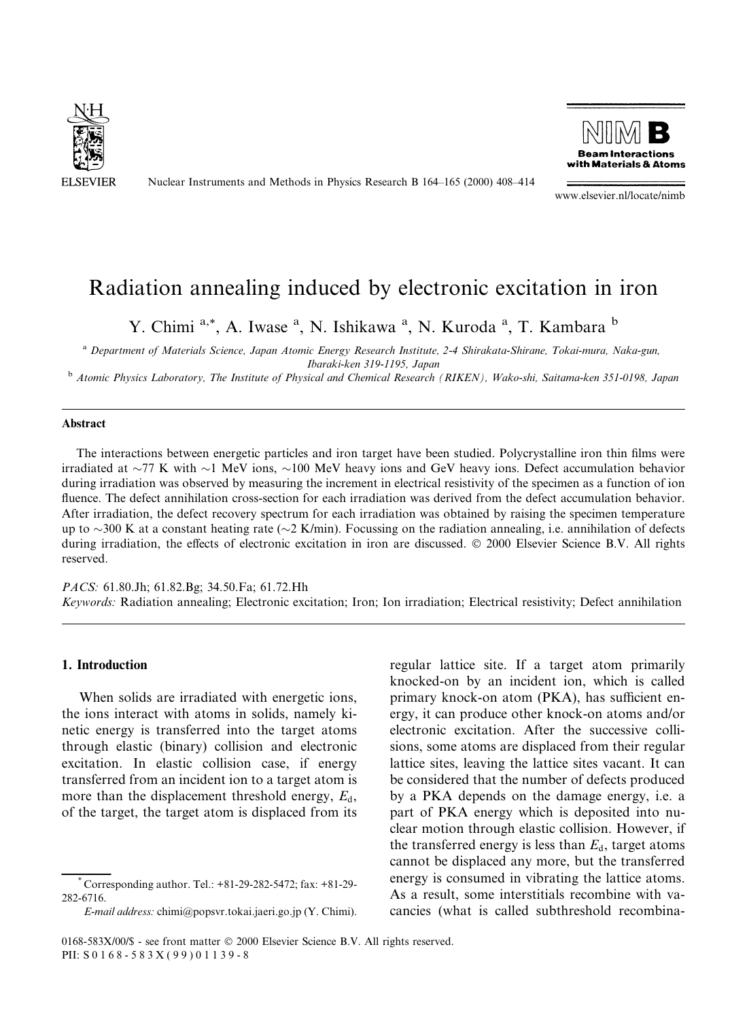

Nuclear Instruments and Methods in Physics Research B 164-165 (2000) 408-414



www.elsevier.nl/locate/nimb

# Radiation annealing induced by electronic excitation in iron

Y. Chimi <sup>a,\*</sup>, A. Iwase <sup>a</sup>, N. Ishikawa <sup>a</sup>, N. Kuroda <sup>a</sup>, T. Kambara <sup>b</sup>

<sup>a</sup> Department of Materials Science, Japan Atomic Energy Research Institute, 2-4 Shirakata-Shirane, Tokai-mura, Naka-gun,

Ibaraki-ken 319-1195, Japan<br><sup>b</sup> Atomic Physics Laboratory, The Institute of Physical and Chemical Research (RIKEN), Wako-shi, Saitama-ken 351-0198, Japan

#### Abstract

The interactions between energetic particles and iron target have been studied. Polycrystalline iron thin films were irradiated at  $\sim$ 77 K with  $\sim$ 1 MeV ions,  $\sim$ 100 MeV heavy ions and GeV heavy ions. Defect accumulation behavior during irradiation was observed by measuring the increment in electrical resistivity of the specimen as a function of ion fluence. The defect annihilation cross-section for each irradiation was derived from the defect accumulation behavior. After irradiation, the defect recovery spectrum for each irradiation was obtained by raising the specimen temperature up to  $\sim$ 300 K at a constant heating rate ( $\sim$ 2 K/min). Focussing on the radiation annealing, i.e. annihilation of defects during irradiation, the effects of electronic excitation in iron are discussed. © 2000 Elsevier Science B.V. All rights reserved.

PACS: 61.80.Jh; 61.82.Bg; 34.50.Fa; 61.72.Hh Keywords: Radiation annealing; Electronic excitation; Iron; Ion irradiation; Electrical resistivity; Defect annihilation

## 1. Introduction

When solids are irradiated with energetic ions, the ions interact with atoms in solids, namely kinetic energy is transferred into the target atoms through elastic (binary) collision and electronic excitation. In elastic collision case, if energy transferred from an incident ion to a target atom is more than the displacement threshold energy,  $E_d$ , of the target, the target atom is displaced from its

E-mail address: chimi@popsvr.tokai.jaeri.go.jp (Y. Chimi).

regular lattice site. If a target atom primarily knocked-on by an incident ion, which is called primary knock-on atom (PKA), has sufficient energy, it can produce other knock-on atoms and/or electronic excitation. After the successive collisions, some atoms are displaced from their regular lattice sites, leaving the lattice sites vacant. It can be considered that the number of defects produced by a PKA depends on the damage energy, i.e. a part of PKA energy which is deposited into nuclear motion through elastic collision. However, if the transferred energy is less than  $E_d$ , target atoms cannot be displaced any more, but the transferred energy is consumed in vibrating the lattice atoms. As a result, some interstitials recombine with vacancies (what is called subthreshold recombina-

<sup>\*</sup> Corresponding author. Tel.: +81-29-282-5472; fax: +81-29- 282-6716.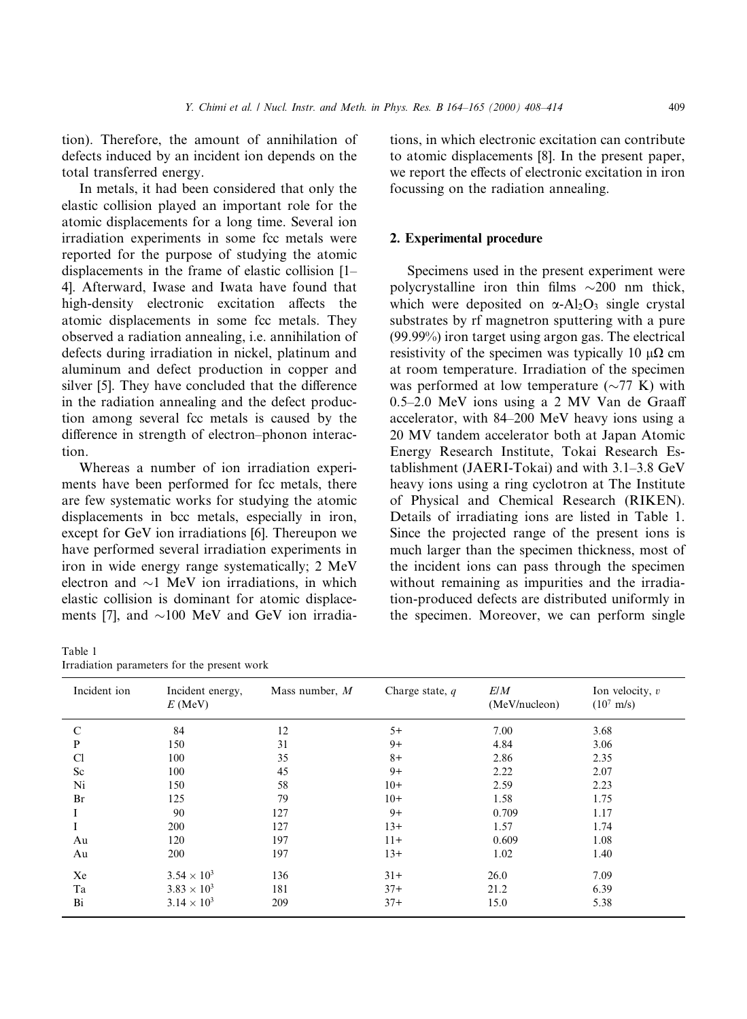tion). Therefore, the amount of annihilation of defects induced by an incident ion depends on the total transferred energy.

In metals, it had been considered that only the elastic collision played an important role for the atomic displacements for a long time. Several ion irradiation experiments in some fcc metals were reported for the purpose of studying the atomic displacements in the frame of elastic collision  $[1-$ 4]. Afterward, Iwase and Iwata have found that high-density electronic excitation affects the atomic displacements in some fcc metals. They observed a radiation annealing, i.e. annihilation of defects during irradiation in nickel, platinum and aluminum and defect production in copper and silver [5]. They have concluded that the difference in the radiation annealing and the defect production among several fcc metals is caused by the difference in strength of electron-phonon interaction.

Whereas a number of ion irradiation experiments have been performed for fcc metals, there are few systematic works for studying the atomic displacements in bcc metals, especially in iron, except for GeV ion irradiations [6]. Thereupon we have performed several irradiation experiments in iron in wide energy range systematically; 2 MeV electron and  $\sim$ 1 MeV ion irradiations, in which elastic collision is dominant for atomic displacements [7], and  $\sim$ 100 MeV and GeV ion irradia-

Table 1

|  | Irradiation parameters for the present work |  |  |  |  |
|--|---------------------------------------------|--|--|--|--|
|--|---------------------------------------------|--|--|--|--|

tions, in which electronic excitation can contribute to atomic displacements [8]. In the present paper, we report the effects of electronic excitation in iron focussing on the radiation annealing.

## 2. Experimental procedure

Specimens used in the present experiment were polycrystalline iron thin films  $\sim$ 200 nm thick, which were deposited on  $\alpha$ -Al<sub>2</sub>O<sub>3</sub> single crystal substrates by rf magnetron sputtering with a pure (99.99%) iron target using argon gas. The electrical resistivity of the specimen was typically 10  $\mu\Omega$  cm at room temperature. Irradiation of the specimen was performed at low temperature  $({\sim}77 \text{ K})$  with  $0.5-2.0$  MeV ions using a 2 MV Van de Graaff accelerator, with 84–200 MeV heavy ions using a 20 MV tandem accelerator both at Japan Atomic Energy Research Institute, Tokai Research Establishment (JAERI-Tokai) and with  $3.1-3.8$  GeV heavy ions using a ring cyclotron at The Institute of Physical and Chemical Research (RIKEN). Details of irradiating ions are listed in Table 1. Since the projected range of the present ions is much larger than the specimen thickness, most of the incident ions can pass through the specimen without remaining as impurities and the irradiation-produced defects are distributed uniformly in the specimen. Moreover, we can perform single

| Incident ion | Incident energy,<br>$E$ (MeV) | Mass number, M | Charge state, $q$ | E/M<br>(MeV/nucleon) | Ion velocity, $v$<br>$(10^7 \text{ m/s})$ |
|--------------|-------------------------------|----------------|-------------------|----------------------|-------------------------------------------|
| C            | 84                            | 12             | $5+$              | 7.00                 | 3.68                                      |
| P            | 150                           | 31             | $9+$              | 4.84                 | 3.06                                      |
| Cl           | 100                           | 35             | $8+$              | 2.86                 | 2.35                                      |
| Sc           | 100                           | 45             | $9+$              | 2.22                 | 2.07                                      |
| Ni           | 150                           | 58             | $10+$             | 2.59                 | 2.23                                      |
| Br           | 125                           | 79             | $10+$             | 1.58                 | 1.75                                      |
|              | 90                            | 127            | $9+$              | 0.709                | 1.17                                      |
|              | 200                           | 127            | $13+$             | 1.57                 | 1.74                                      |
| Au           | 120                           | 197            | $11+$             | 0.609                | 1.08                                      |
| Au           | 200                           | 197            | $13+$             | 1.02                 | 1.40                                      |
| Xe           | $3.54 \times 10^{3}$          | 136            | $31+$             | 26.0                 | 7.09                                      |
| Ta           | $3.83 \times 10^{3}$          | 181            | $37+$             | 21.2                 | 6.39                                      |
| Bi           | $3.14 \times 10^{3}$          | 209            | $37+$             | 15.0                 | 5.38                                      |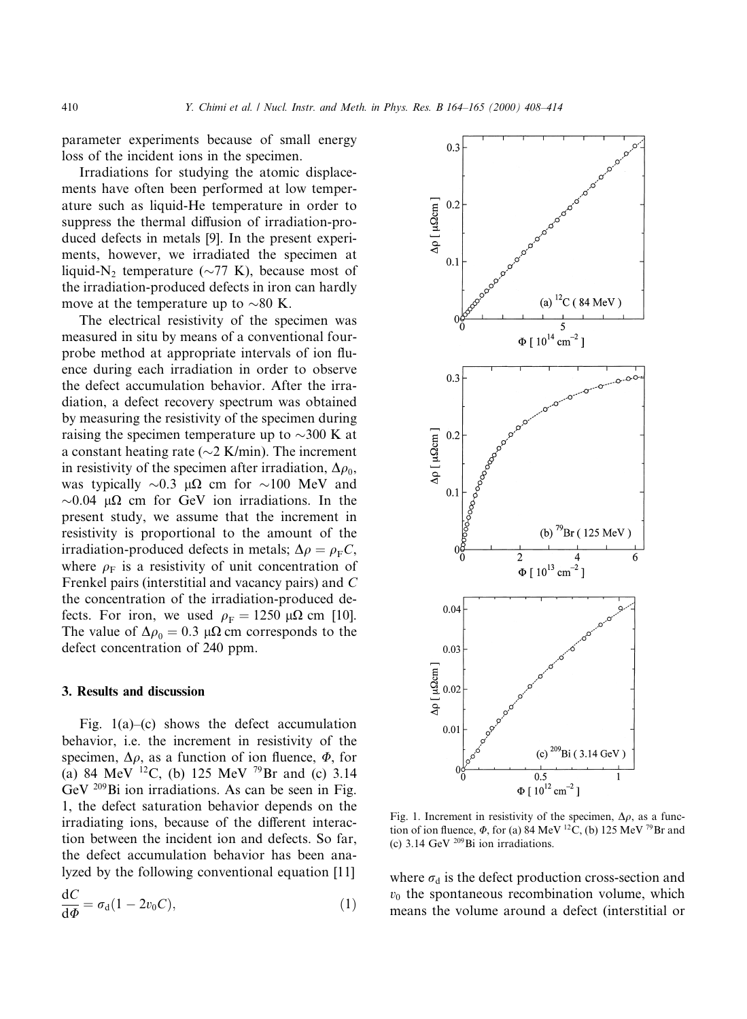parameter experiments because of small energy loss of the incident ions in the specimen.

Irradiations for studying the atomic displacements have often been performed at low temperature such as liquid-He temperature in order to suppress the thermal diffusion of irradiation-produced defects in metals [9]. In the present experiments, however, we irradiated the specimen at liquid-N<sub>2</sub> temperature ( $\sim$ 77 K), because most of the irradiation-produced defects in iron can hardly move at the temperature up to  $\sim 80$  K.

The electrical resistivity of the specimen was measured in situ by means of a conventional fourprobe method at appropriate intervals of ion fluence during each irradiation in order to observe the defect accumulation behavior. After the irradiation, a defect recovery spectrum was obtained by measuring the resistivity of the specimen during raising the specimen temperature up to  $\sim$ 300 K at a constant heating rate ( $\sim$ 2 K/min). The increment in resistivity of the specimen after irradiation,  $\Delta \rho_0$ , was typically  $\sim 0.3 \mu\Omega$  cm for  $\sim 100 \text{ MeV}$  and  $\sim$ 0.04 µ $\Omega$  cm for GeV ion irradiations. In the present study, we assume that the increment in resistivity is proportional to the amount of the irradiation-produced defects in metals;  $\Delta \rho = \rho_{\rm F} C$ , where  $\rho_F$  is a resistivity of unit concentration of Frenkel pairs (interstitial and vacancy pairs) and C the concentration of the irradiation-produced defects. For iron, we used  $\rho_F = 1250 \mu\Omega$  cm [10]. The value of  $\Delta \rho_0 = 0.3 \mu \Omega$  cm corresponds to the defect concentration of 240 ppm.

## 3. Results and discussion

Fig.  $1(a)$ -(c) shows the defect accumulation behavior, i.e. the increment in resistivity of the specimen,  $\Delta \rho$ , as a function of ion fluence,  $\Phi$ , for (a) 84 MeV <sup>12</sup>C, (b) 125 MeV <sup>79</sup>Br and (c) 3.14 GeV 209Bi ion irradiations. As can be seen in Fig. 1, the defect saturation behavior depends on the irradiating ions, because of the different interaction between the incident ion and defects. So far, the defect accumulation behavior has been analyzed by the following conventional equation [11]  $\ddot{\phantom{a}}$ 

$$
\frac{\mathrm{d}C}{\mathrm{d}\Phi} = \sigma_{\mathrm{d}}(1 - 2v_0 C),\tag{1}
$$



Fig. 1. Increment in resistivity of the specimen,  $\Delta \rho$ , as a function of ion fluence,  $\Phi$ , for (a) 84 MeV <sup>12</sup>C, (b) 125 MeV <sup>79</sup>Br and (c) 3.14 GeV  $^{209}$ Bi ion irradiations.

where  $\sigma_d$  is the defect production cross-section and  $v<sub>0</sub>$  the spontaneous recombination volume, which means the volume around a defect (interstitial or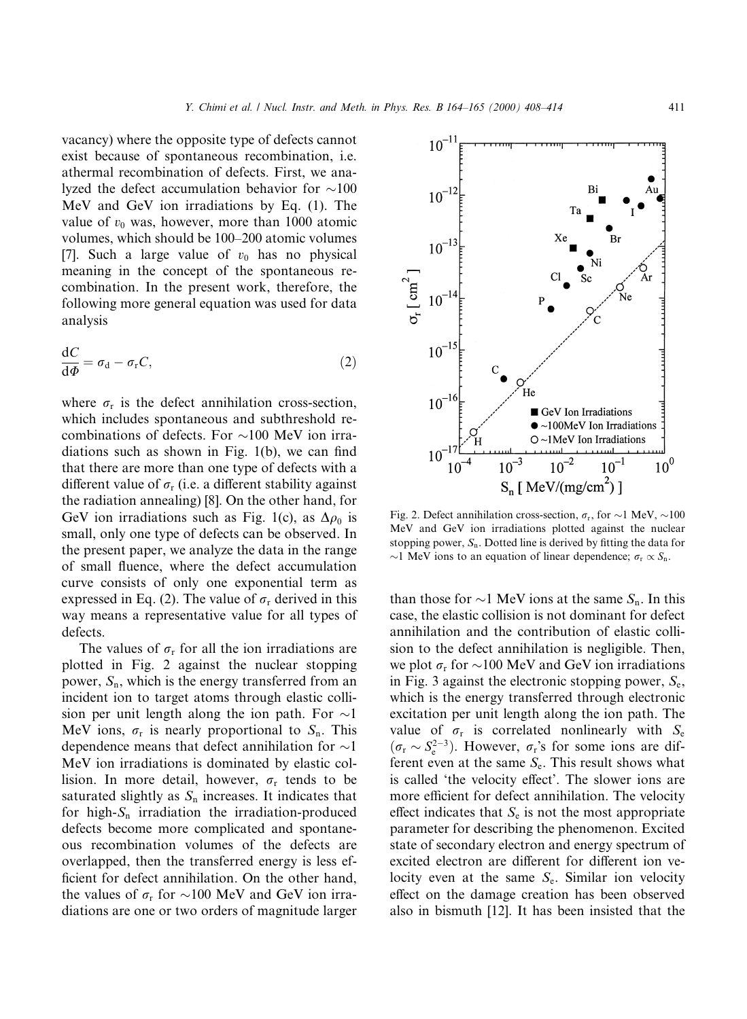vacancy) where the opposite type of defects cannot exist because of spontaneous recombination, i.e. athermal recombination of defects. First, we analyzed the defect accumulation behavior for  $\sim$ 100 MeV and GeV ion irradiations by Eq. (1). The value of  $v_0$  was, however, more than 1000 atomic volumes, which should be 100-200 atomic volumes [7]. Such a large value of  $v_0$  has no physical meaning in the concept of the spontaneous recombination. In the present work, therefore, the following more general equation was used for data analysis

$$
\frac{\mathrm{d}C}{\mathrm{d}\Phi} = \sigma_{\mathrm{d}} - \sigma_{\mathrm{r}}C,\tag{2}
$$

where  $\sigma_r$  is the defect annihilation cross-section, which includes spontaneous and subthreshold recombinations of defects. For  $\sim$ 100 MeV ion irradiations such as shown in Fig.  $1(b)$ , we can find that there are more than one type of defects with a different value of  $\sigma_r$  (i.e. a different stability against the radiation annealing) [8]. On the other hand, for GeV ion irradiations such as Fig. 1(c), as  $\Delta \rho_0$  is small, only one type of defects can be observed. In the present paper, we analyze the data in the range of small fluence, where the defect accumulation curve consists of only one exponential term as expressed in Eq. (2). The value of  $\sigma_r$  derived in this way means a representative value for all types of defects.

The values of  $\sigma_r$  for all the ion irradiations are plotted in Fig. 2 against the nuclear stopping power,  $S_n$ , which is the energy transferred from an incident ion to target atoms through elastic collision per unit length along the ion path. For  $\sim$ 1 MeV ions,  $\sigma_r$  is nearly proportional to  $S_n$ . This dependence means that defect annihilation for  $\sim$ 1 MeV ion irradiations is dominated by elastic collision. In more detail, however,  $\sigma_r$  tends to be saturated slightly as  $S_n$  increases. It indicates that for high- $S_n$  irradiation the irradiation-produced defects become more complicated and spontaneous recombination volumes of the defects are overlapped, then the transferred energy is less ef ficient for defect annihilation. On the other hand, the values of  $\sigma_r$  for  $\sim$ 100 MeV and GeV ion irradiations are one or two orders of magnitude larger



Fig. 2. Defect annihilation cross-section,  $\sigma_r$ , for  $\sim$ 1 MeV,  $\sim$ 100 MeV and GeV ion irradiations plotted against the nuclear stopping power,  $S_n$ . Dotted line is derived by fitting the data for  $\sim$ 1 MeV ions to an equation of linear dependence;  $\sigma_r \propto S_n$ .

than those for  $\sim$ 1 MeV ions at the same  $S_n$ . In this case, the elastic collision is not dominant for defect annihilation and the contribution of elastic collision to the defect annihilation is negligible. Then, we plot  $\sigma_r$  for  $\sim$ 100 MeV and GeV ion irradiations in Fig. 3 against the electronic stopping power,  $S_{\rm e}$ , which is the energy transferred through electronic excitation per unit length along the ion path. The value of  $\sigma_r$  is correlated nonlinearly with  $S_e$  $(\sigma_{\rm r} \sim S_{\rm e}^{2-3})$ . However,  $\sigma_{\rm r}$ 's for some ions are different even at the same  $S_e$ . This result shows what is called 'the velocity effect'. The slower ions are more efficient for defect annihilation. The velocity effect indicates that  $S<sub>e</sub>$  is not the most appropriate parameter for describing the phenomenon. Excited state of secondary electron and energy spectrum of excited electron are different for different ion velocity even at the same  $S_e$ . Similar ion velocity effect on the damage creation has been observed also in bismuth [12]. It has been insisted that the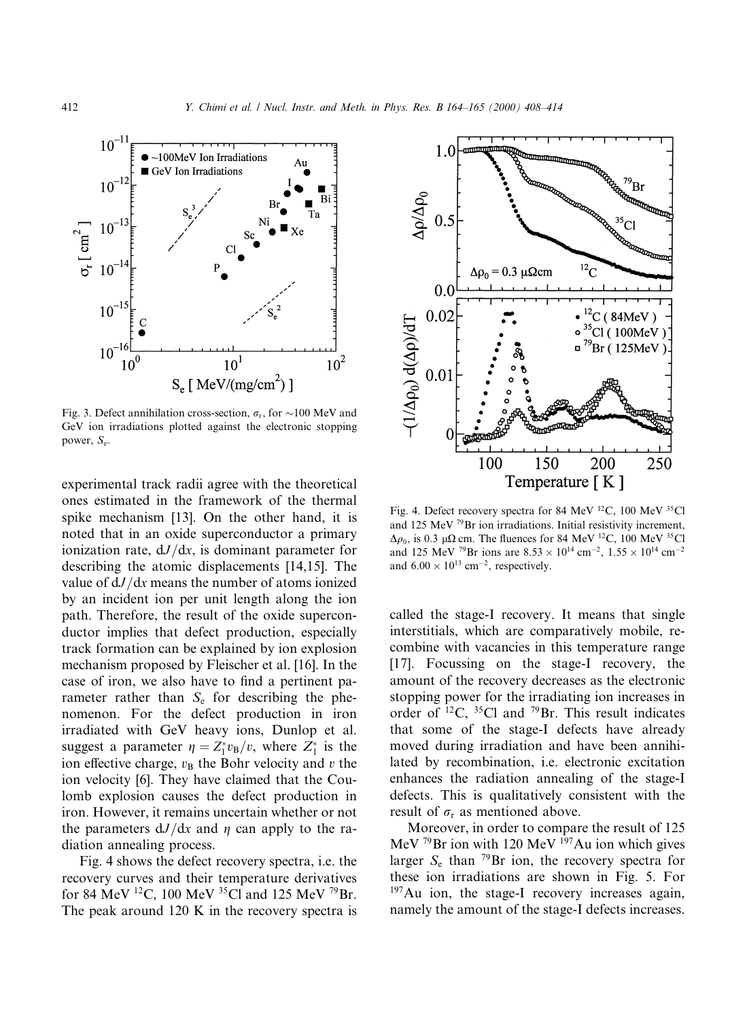

Fig. 3. Defect annihilation cross-section,  $\sigma_r$ , for  $\sim$ 100 MeV and GeV ion irradiations plotted against the electronic stopping power, Se.

experimental track radii agree with the theoretical ones estimated in the framework of the thermal spike mechanism [13]. On the other hand, it is noted that in an oxide superconductor a primary ionization rate,  $dJ/dx$ , is dominant parameter for describing the atomic displacements [14,15]. The value of  $dJ/dx$  means the number of atoms ionized by an incident ion per unit length along the ion path. Therefore, the result of the oxide superconductor implies that defect production, especially track formation can be explained by ion explosion mechanism proposed by Fleischer et al. [16]. In the case of iron, we also have to find a pertinent parameter rather than  $S_e$  for describing the phenomenon. For the defect production in iron irradiated with GeV heavy ions, Dunlop et al. suggest a parameter  $\eta = Z_1^* v_B/v$ , where  $Z_1^*$  is the ion effective charge,  $v_B$  the Bohr velocity and v the ion velocity [6]. They have claimed that the Coulomb explosion causes the defect production in iron. However, it remains uncertain whether or not the parameters  $dJ/dx$  and  $\eta$  can apply to the radiation annealing process.

Fig. 4 shows the defect recovery spectra, i.e. the recovery curves and their temperature derivatives for 84 MeV 12C, 100 MeV 35Cl and 125 MeV 79Br. The peak around 120 K in the recovery spectra is



Fig. 4. Defect recovery spectra for 84 MeV <sup>12</sup>C, 100 MeV <sup>35</sup>Cl and 125 MeV 79Br ion irradiations. Initial resistivity increment,  $\Delta \rho_0$ , is 0.3 µ $\Omega$  cm. The fluences for 84 MeV <sup>12</sup>C, 100 MeV <sup>35</sup>Cl and 125 MeV <sup>79</sup>Br ions are  $8.53 \times 10^{14}$  cm<sup>-2</sup>,  $1.55 \times 10^{14}$  cm<sup>-2</sup> and  $6.00 \times 10^{13}$  cm<sup>-2</sup>, respectively.

called the stage-I recovery. It means that single interstitials, which are comparatively mobile, recombine with vacancies in this temperature range [17]. Focussing on the stage-I recovery, the amount of the recovery decreases as the electronic stopping power for the irradiating ion increases in order of  $^{12}C$ ,  $^{35}Cl$  and  $^{79}Br$ . This result indicates that some of the stage-I defects have already moved during irradiation and have been annihilated by recombination, i.e. electronic excitation enhances the radiation annealing of the stage-I defects. This is qualitatively consistent with the result of  $\sigma_r$  as mentioned above.

Moreover, in order to compare the result of 125 MeV  $^{79}$ Br ion with 120 MeV  $^{197}$ Au ion which gives larger  $S_e$  than <sup>79</sup>Br ion, the recovery spectra for these ion irradiations are shown in Fig. 5. For  $197$ Au ion, the stage-I recovery increases again, namely the amount of the stage-I defects increases.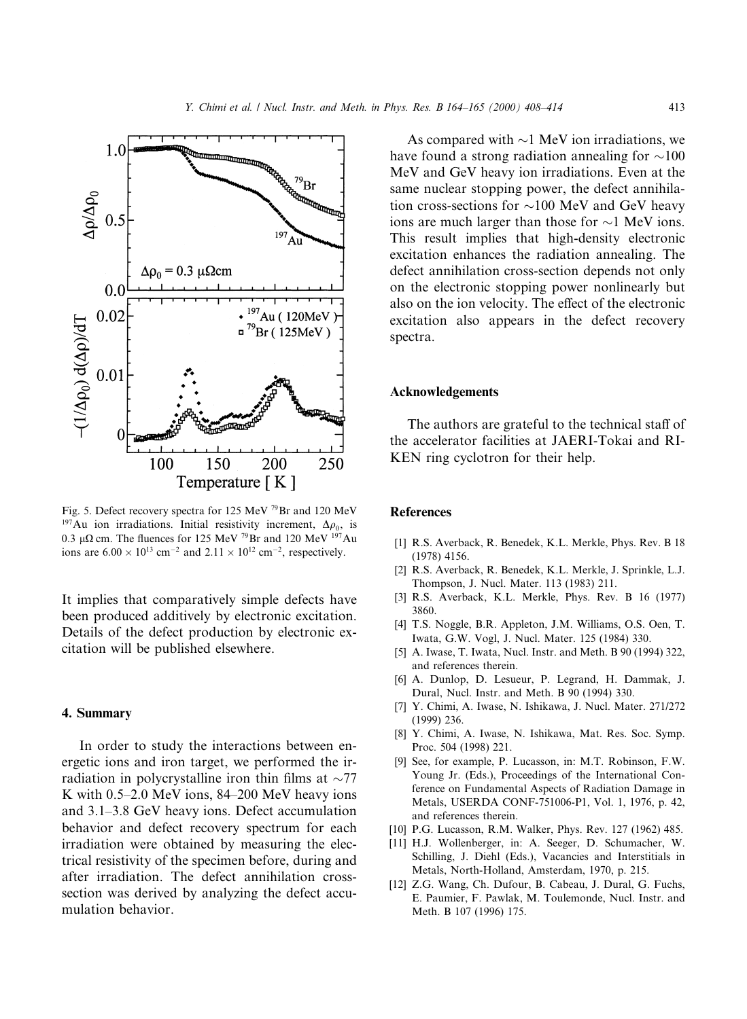

Fig. 5. Defect recovery spectra for 125 MeV 79Br and 120 MeV <sup>197</sup>Au ion irradiations. Initial resistivity increment,  $\Delta \rho_0$ , is 0.3  $\mu\Omega$  cm. The fluences for 125 MeV <sup>79</sup>Br and 120 MeV <sup>197</sup>Au ions are  $6.00 \times 10^{13}$  cm<sup>-2</sup> and  $2.11 \times 10^{12}$  cm<sup>-2</sup>, respectively.

It implies that comparatively simple defects have been produced additively by electronic excitation. Details of the defect production by electronic excitation will be published elsewhere.

### 4. Summary

In order to study the interactions between energetic ions and iron target, we performed the irradiation in polycrystalline iron thin films at  $\sim$ 77 K with  $0.5-2.0$  MeV ions, 84-200 MeV heavy ions and 3.1–3.8 GeV heavy ions. Defect accumulation behavior and defect recovery spectrum for each irradiation were obtained by measuring the electrical resistivity of the specimen before, during and after irradiation. The defect annihilation crosssection was derived by analyzing the defect accumulation behavior.

As compared with  $\sim$ 1 MeV ion irradiations, we have found a strong radiation annealing for  $\sim$ 100 MeV and GeV heavy ion irradiations. Even at the same nuclear stopping power, the defect annihilation cross-sections for  $\sim$ 100 MeV and GeV heavy ions are much larger than those for  $\sim$ 1 MeV ions. This result implies that high-density electronic excitation enhances the radiation annealing. The defect annihilation cross-section depends not only on the electronic stopping power nonlinearly but also on the ion velocity. The effect of the electronic excitation also appears in the defect recovery spectra.

# Acknowledgements

The authors are grateful to the technical staff of the accelerator facilities at JAERI-Tokai and RI-KEN ring cyclotron for their help.

## **References**

- [1] R.S. Averback, R. Benedek, K.L. Merkle, Phys. Rev. B 18 (1978) 4156.
- [2] R.S. Averback, R. Benedek, K.L. Merkle, J. Sprinkle, L.J. Thompson, J. Nucl. Mater. 113 (1983) 211.
- [3] R.S. Averback, K.L. Merkle, Phys. Rev. B 16 (1977) 3860.
- [4] T.S. Noggle, B.R. Appleton, J.M. Williams, O.S. Oen, T. Iwata, G.W. Vogl, J. Nucl. Mater. 125 (1984) 330.
- [5] A. Iwase, T. Iwata, Nucl. Instr. and Meth. B 90 (1994) 322, and references therein.
- [6] A. Dunlop, D. Lesueur, P. Legrand, H. Dammak, J. Dural, Nucl. Instr. and Meth. B 90 (1994) 330.
- [7] Y. Chimi, A. Iwase, N. Ishikawa, J. Nucl. Mater. 271/272 (1999) 236.
- [8] Y. Chimi, A. Iwase, N. Ishikawa, Mat. Res. Soc. Symp. Proc. 504 (1998) 221.
- [9] See, for example, P. Lucasson, in: M.T. Robinson, F.W. Young Jr. (Eds.), Proceedings of the International Conference on Fundamental Aspects of Radiation Damage in Metals, USERDA CONF-751006-P1, Vol. 1, 1976, p. 42, and references therein.
- [10] P.G. Lucasson, R.M. Walker, Phys. Rev. 127 (1962) 485.
- [11] H.J. Wollenberger, in: A. Seeger, D. Schumacher, W. Schilling, J. Diehl (Eds.), Vacancies and Interstitials in Metals, North-Holland, Amsterdam, 1970, p. 215.
- [12] Z.G. Wang, Ch. Dufour, B. Cabeau, J. Dural, G. Fuchs, E. Paumier, F. Pawlak, M. Toulemonde, Nucl. Instr. and Meth. B 107 (1996) 175.